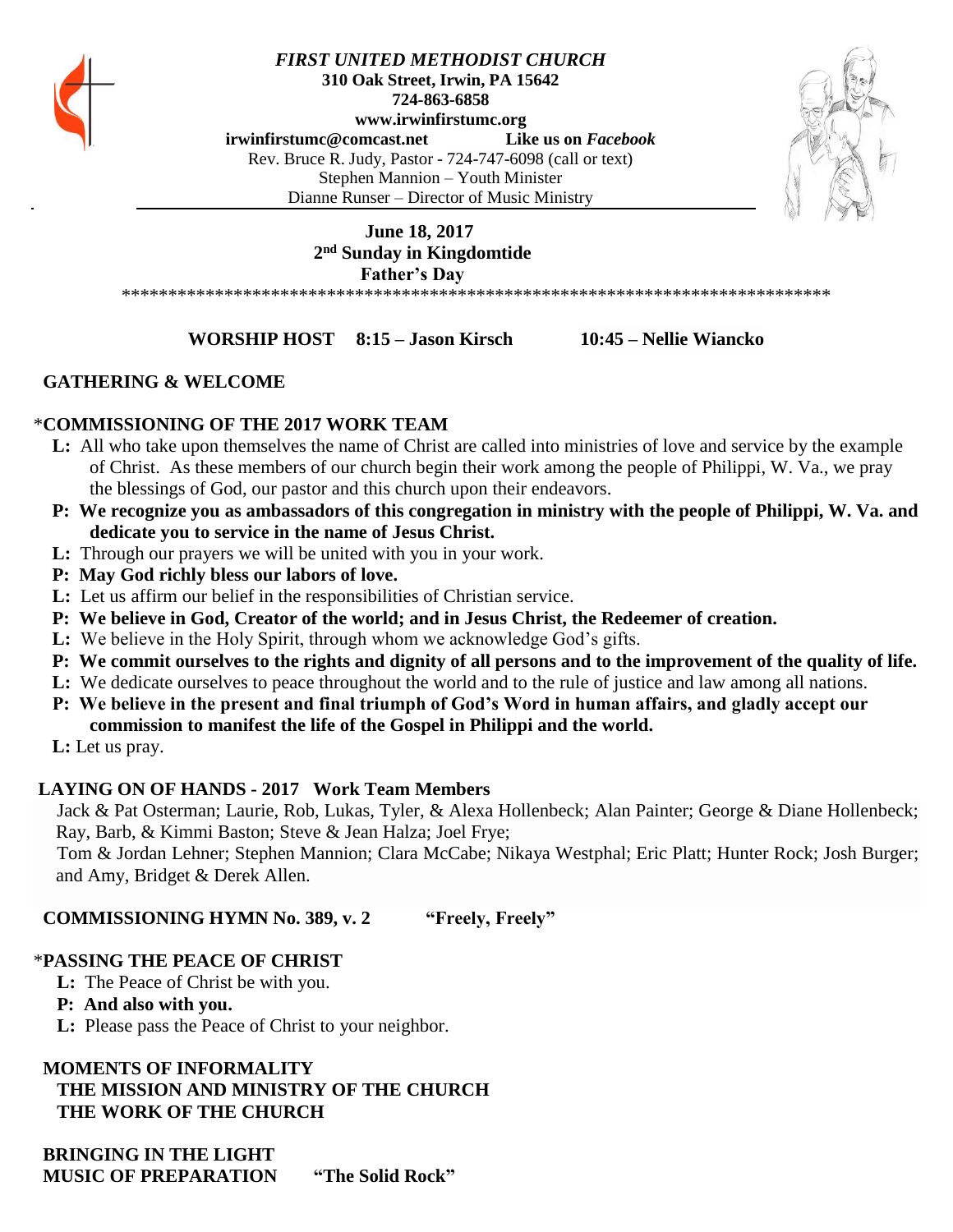

*FIRST UNITED METHODIST CHURCH* **310 Oak Street, Irwin, PA 15642 724-863-6858 www.irwinfirstumc.org [irwinfirstumc@comcast.net](mailto:irwinfirstumc@comcast.net) Like us on** *Facebook* Rev. Bruce R. Judy, Pastor - 724-747-6098 (call or text) Stephen Mannion – Youth Minister Dianne Runser – Director of Music Ministry

# **June 18, 2017 2 nd Sunday in Kingdomtide Father's Day**

\*\*\*\*\*\*\*\*\*\*\*\*\*\*\*\*\*\*\*\*\*\*\*\*\*\*\*\*\*\*\*\*\*\*\*\*\*\*\*\*\*\*\*\*\*\*\*\*\*\*\*\*\*\*\*\*\*\*\*\*\*\*\*\*\*\*\*\*\*\*\*\*\*\*\*\*

#### **WORSHIP HOST 8:15 – Jason Kirsch 10:45 – Nellie Wiancko**

#### **GATHERING & WELCOME**

#### \***COMMISSIONING OF THE 2017 WORK TEAM**

- **L:** All who take upon themselves the name of Christ are called into ministries of love and service by the example of Christ. As these members of our church begin their work among the people of Philippi, W. Va., we pray the blessings of God, our pastor and this church upon their endeavors.
- **P: We recognize you as ambassadors of this congregation in ministry with the people of Philippi, W. Va. and dedicate you to service in the name of Jesus Christ.**
- **L:** Through our prayers we will be united with you in your work.
- **P: May God richly bless our labors of love.**
- **L:** Let us affirm our belief in the responsibilities of Christian service.
- **P: We believe in God, Creator of the world; and in Jesus Christ, the Redeemer of creation.**
- **L:** We believe in the Holy Spirit, through whom we acknowledge God's gifts.
- **P: We commit ourselves to the rights and dignity of all persons and to the improvement of the quality of life.**
- **L:** We dedicate ourselves to peace throughout the world and to the rule of justice and law among all nations.
- **P: We believe in the present and final triumph of God's Word in human affairs, and gladly accept our commission to manifest the life of the Gospel in Philippi and the world.**
- **L:** Let us pray.

## **LAYING ON OF HANDS - 2017 Work Team Members**

 Jack & Pat Osterman; Laurie, Rob, Lukas, Tyler, & Alexa Hollenbeck; Alan Painter; George & Diane Hollenbeck; Ray, Barb, & Kimmi Baston; Steve & Jean Halza; Joel Frye;

 Tom & Jordan Lehner; Stephen Mannion; Clara McCabe; Nikaya Westphal; Eric Platt; Hunter Rock; Josh Burger; and Amy, Bridget & Derek Allen.

## **COMMISSIONING HYMN No. 389, v. 2 "Freely, Freely"**

## \***PASSING THE PEACE OF CHRIST**

- **L:** The Peace of Christ be with you.
- **P: And also with you.**
- **L:** Please pass the Peace of Christ to your neighbor.

## **MOMENTS OF INFORMALITY**

 **THE MISSION AND MINISTRY OF THE CHURCH THE WORK OF THE CHURCH**

 **BRINGING IN THE LIGHT MUSIC OF PREPARATION "The Solid Rock"**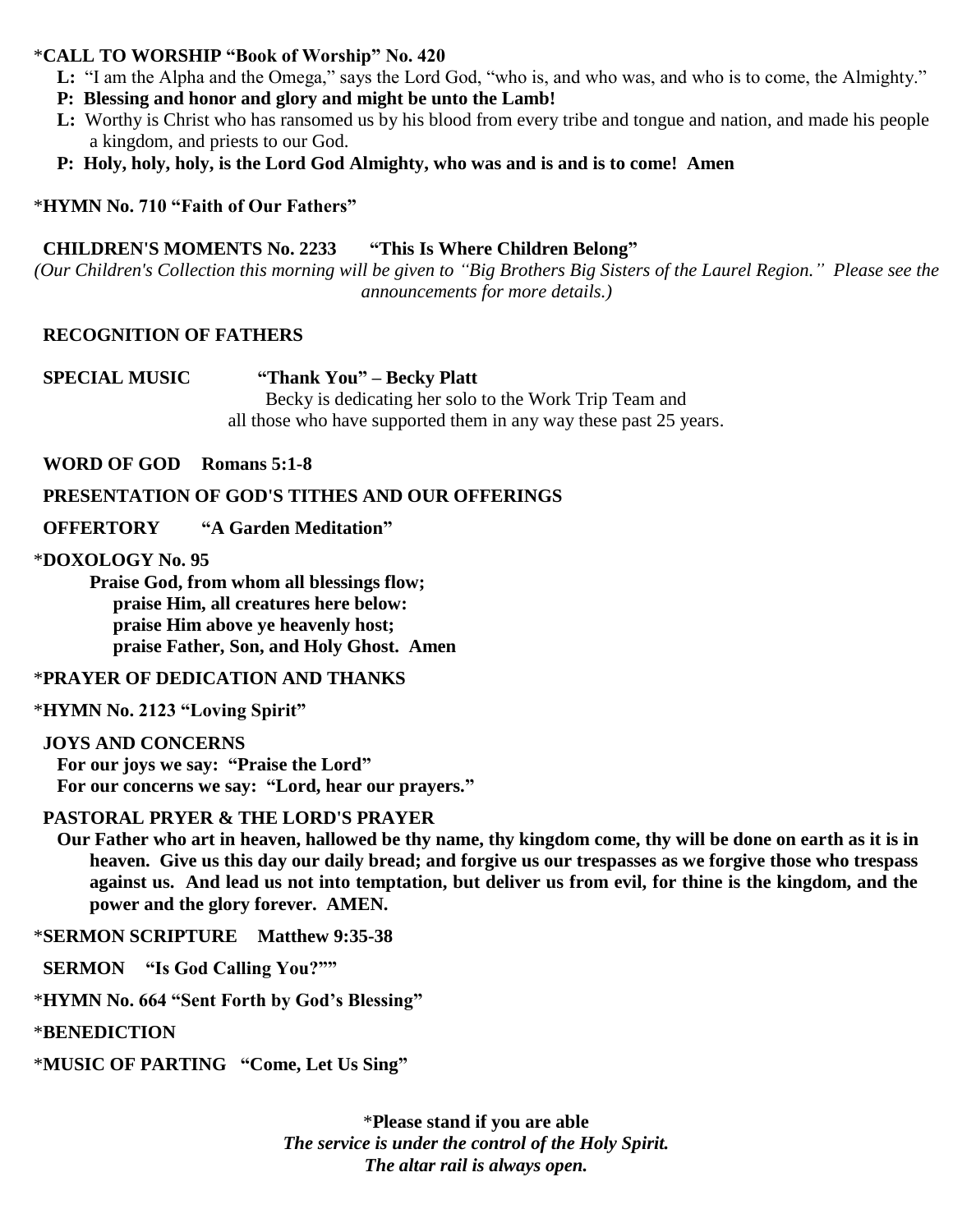### \***CALL TO WORSHIP "Book of Worship" No. 420**

- **L:** "I am the Alpha and the Omega," says the Lord God, "who is, and who was, and who is to come, the Almighty."
- **P: Blessing and honor and glory and might be unto the Lamb!**
- **L:** Worthy is Christ who has ransomed us by his blood from every tribe and tongue and nation, and made his people a kingdom, and priests to our God.
- **P: Holy, holy, holy, is the Lord God Almighty, who was and is and is to come! Amen**

### \***HYMN No. 710 "Faith of Our Fathers"**

#### **CHILDREN'S MOMENTS No. 2233 "This Is Where Children Belong"**

*(Our Children's Collection this morning will be given to "Big Brothers Big Sisters of the Laurel Region." Please see the announcements for more details.)*

#### **RECOGNITION OF FATHERS**

 **SPECIAL MUSIC "Thank You" – Becky Platt** Becky is dedicating her solo to the Work Trip Team and all those who have supported them in any way these past 25 years.

#### **WORD OF GOD Romans 5:1-8**

#### **PRESENTATION OF GOD'S TITHES AND OUR OFFERINGS**

 **OFFERTORY "A Garden Meditation"**

#### \***DOXOLOGY No. 95**

**Praise God, from whom all blessings flow; praise Him, all creatures here below: praise Him above ye heavenly host; praise Father, Son, and Holy Ghost. Amen**

#### \***PRAYER OF DEDICATION AND THANKS**

\***HYMN No. 2123 "Loving Spirit"**

 **JOYS AND CONCERNS For our joys we say: "Praise the Lord" For our concerns we say: "Lord, hear our prayers."**

#### **PASTORAL PRYER & THE LORD'S PRAYER**

 **Our Father who art in heaven, hallowed be thy name, thy kingdom come, thy will be done on earth as it is in heaven. Give us this day our daily bread; and forgive us our trespasses as we forgive those who trespass against us. And lead us not into temptation, but deliver us from evil, for thine is the kingdom, and the power and the glory forever. AMEN.**

\***SERMON SCRIPTURE Matthew 9:35-38**

 **SERMON "Is God Calling You?""**

\***HYMN No. 664 "Sent Forth by God's Blessing"**

\***BENEDICTION**

\***MUSIC OF PARTING "Come, Let Us Sing"**

\***Please stand if you are able** *The service is under the control of the Holy Spirit. The altar rail is always open.*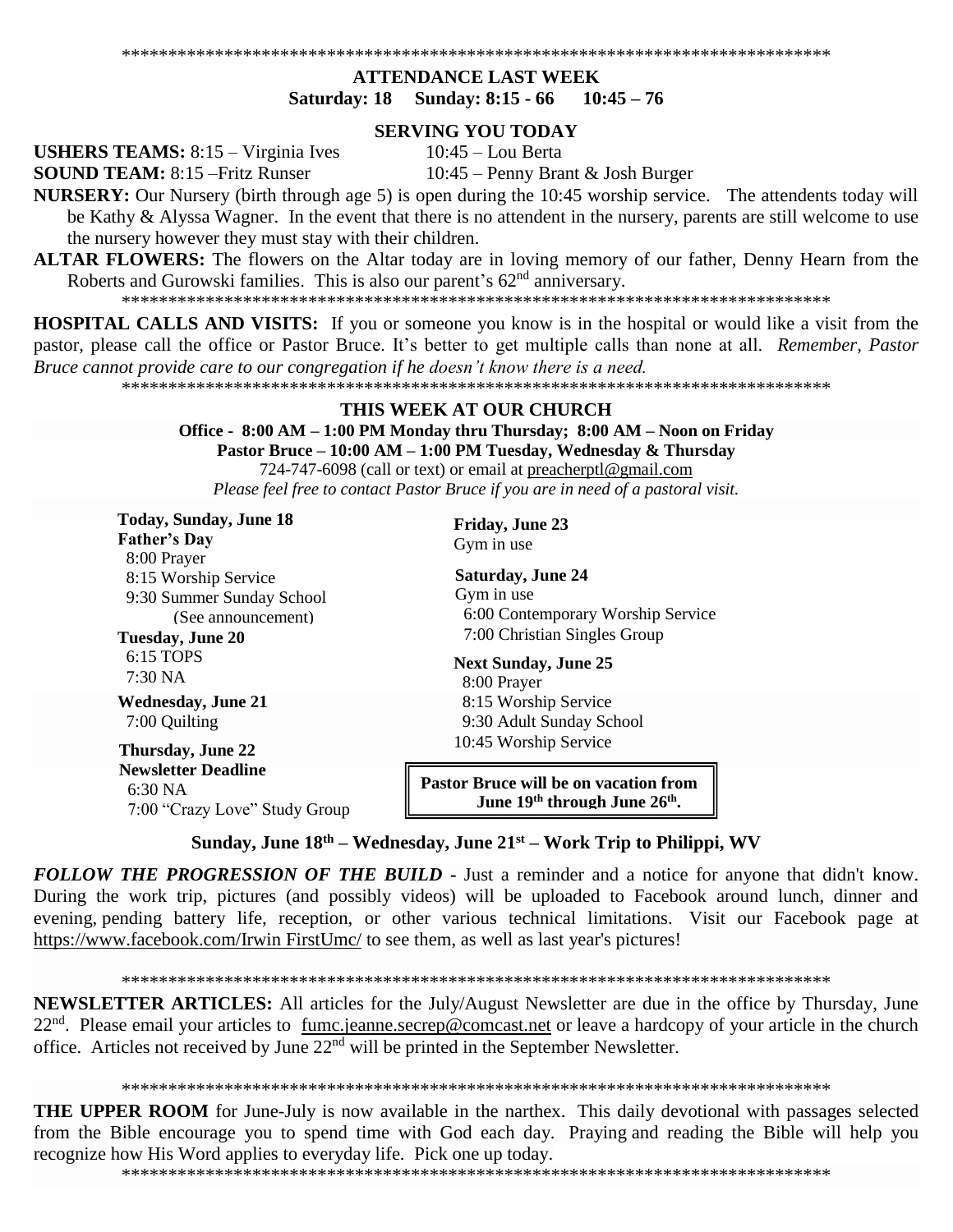#### **ATTENDANCE LAST WEEK** Saturday: 18 Sunday: 8:15 - 66  $10:45 - 76$

#### **SERVING YOU TODAY**

**USHERS TEAMS:**  $8:15 - \text{Virginia Ives}$ 

**SOUND TEAM: 8:15 - Fritz Runser** 

 $10:45$  – Lou Berta

10:45 – Penny Brant & Josh Burger

NURSERY: Our Nursery (birth through age 5) is open during the 10:45 worship service. The attendents today will be Kathy & Alyssa Wagner. In the event that there is no attendent in the nursery, parents are still welcome to use the nursery however they must stay with their children.

**ALTAR FLOWERS:** The flowers on the Altar today are in loving memory of our father, Denny Hearn from the Roberts and Gurowski families. This is also our parent's 62<sup>nd</sup> anniversary.

**HOSPITAL CALLS AND VISITS:** If you or someone you know is in the hospital or would like a visit from the pastor, please call the office or Pastor Bruce. It's better to get multiple calls than none at all. Remember, Pastor Bruce cannot provide care to our congregation if he doesn't know there is a need.

#### THIS WEEK AT OUR CHURCH

Office - 8:00 AM – 1:00 PM Monday thru Thursday; 8:00 AM – Noon on Friday Pastor Bruce – 10:00 AM – 1:00 PM Tuesday, Wednesday & Thursday

724-747-6098 (call or text) or email at preacherptl@gmail.com Please feel free to contact Pastor Bruce if you are in need of a pastoral visit.

| <b>Friday, June 23</b><br><b>Father's Day</b><br>Gym in use<br>8:00 Prayer<br><b>Saturday, June 24</b><br>8:15 Worship Service<br>Gym in use<br>9:30 Summer Sunday School<br>6:00 Contemporary Worship Service<br>(See announcement)<br>7:00 Christian Singles Group<br>Tuesday, June 20<br>6:15 TOPS |  |
|-------------------------------------------------------------------------------------------------------------------------------------------------------------------------------------------------------------------------------------------------------------------------------------------------------|--|
|                                                                                                                                                                                                                                                                                                       |  |
|                                                                                                                                                                                                                                                                                                       |  |
|                                                                                                                                                                                                                                                                                                       |  |
|                                                                                                                                                                                                                                                                                                       |  |
|                                                                                                                                                                                                                                                                                                       |  |
|                                                                                                                                                                                                                                                                                                       |  |
| <b>Next Sunday, June 25</b>                                                                                                                                                                                                                                                                           |  |
| $7:30\,\mathrm{NA}$<br>8:00 Prayer                                                                                                                                                                                                                                                                    |  |
| 8:15 Worship Service<br><b>Wednesday, June 21</b>                                                                                                                                                                                                                                                     |  |
| 9:30 Adult Sunday School<br>7:00 Quilting                                                                                                                                                                                                                                                             |  |
| 10:45 Worship Service<br><b>Thursday, June 22</b>                                                                                                                                                                                                                                                     |  |
| <b>Newsletter Deadline</b><br><b>Pastor Bruce will be on vacation from</b><br>6:30 NA<br>June 19th through June 26th.<br>7:00 "Crazy Love" Study Group                                                                                                                                                |  |

Sunday, June  $18<sup>th</sup> - Wednesday$ , June  $21<sup>st</sup> - Work Trip$  to Philippi, WV

FOLLOW THE PROGRESSION OF THE BUILD - Just a reminder and a notice for anyone that didn't know. During the work trip, pictures (and possibly videos) will be uploaded to Facebook around lunch, dinner and evening pending battery life, reception, or other various technical limitations. Visit our Facebook page at https://www.facebook.com/Irwin FirstUmc/ to see them, as well as last year's pictures!

**NEWSLETTER ARTICLES:** All articles for the July/August Newsletter are due in the office by Thursday, June 22<sup>nd</sup>. Please email your articles to fumc.jeanne.secrep@comcast.net or leave a hardcopy of your article in the church office. Articles not received by June  $22<sup>nd</sup>$  will be printed in the September Newsletter.

**THE UPPER ROOM** for June-July is now available in the narthex. This daily devotional with passages selected from the Bible encourage you to spend time with God each day. Praying and reading the Bible will help you recognize how His Word applies to everyday life. Pick one up today.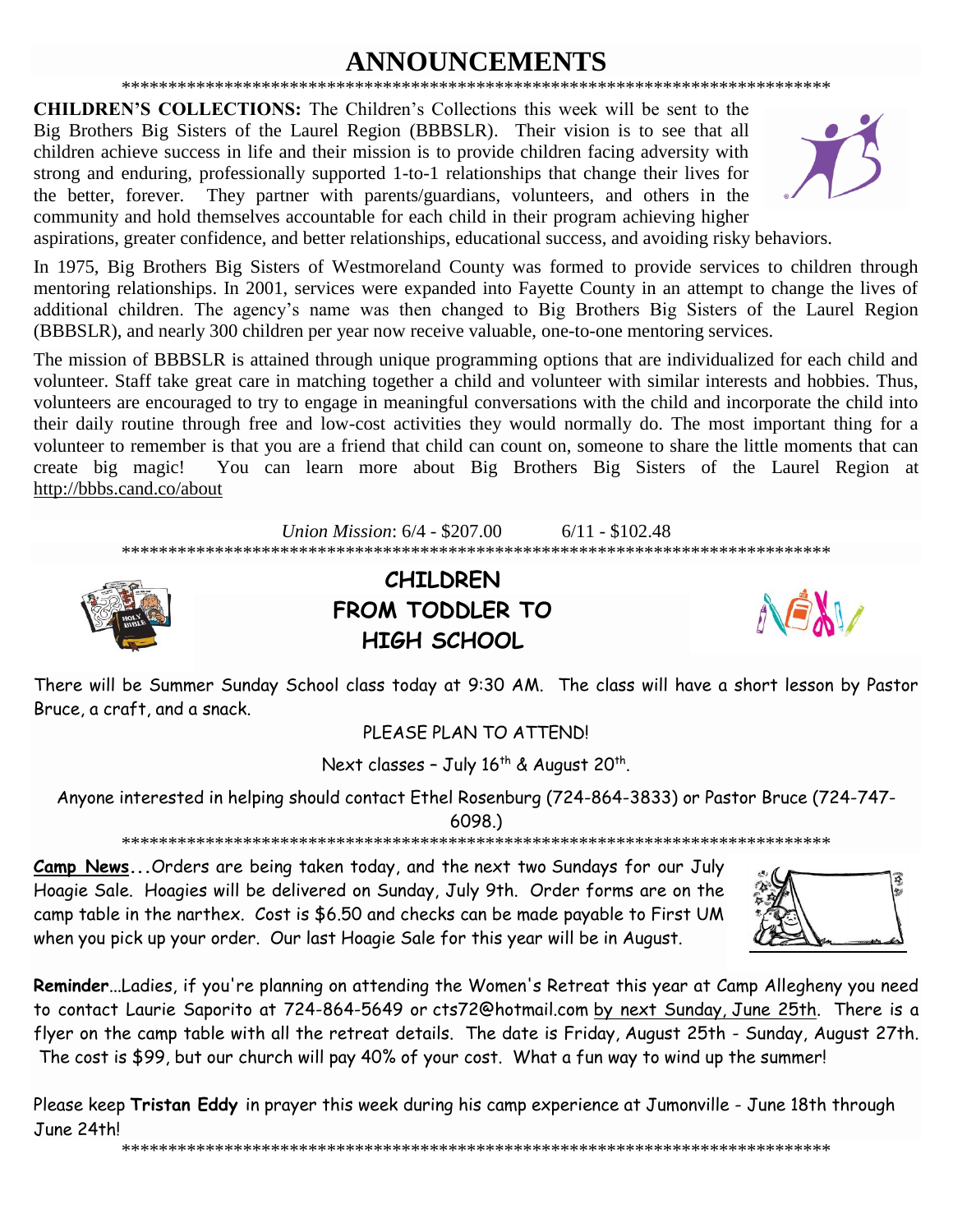#### **NNOUNCEMENTS** \*\*\*\*\*\*\*\*\*\*\*\*\*\*\*\*\*\*\*\*\*\*\*\*\*\*\*\*\*\*

**CHILDREN'S COLLECTIONS:** The Children's Collections this week will be sent to the Big Brothers Big Sisters of the Laurel Region (BBBSLR). Their vision is to see that all children achieve success in life and their mission is to provide children facing adversity with strong and enduring, professionally supported 1-to-1 relationships that change their lives for They partner with parents/guardians, volunteers, and others in the the better, forever. community and hold themselves accountable for each child in their program achieving higher



aspirations, greater confidence, and better relationships, educational success, and avoiding risky behaviors.

In 1975, Big Brothers Big Sisters of Westmoreland County was formed to provide services to children through mentoring relationships. In 2001, services were expanded into Fayette County in an attempt to change the lives of additional children. The agency's name was then changed to Big Brothers Big Sisters of the Laurel Region (BBBSLR), and nearly 300 children per year now receive valuable, one-to-one mentoring services.

The mission of BBBSLR is attained through unique programming options that are individualized for each child and volunteer. Staff take great care in matching together a child and volunteer with similar interests and hobbies. Thus, volunteers are encouraged to try to engage in meaningful conversations with the child and incorporate the child into their daily routine through free and low-cost activities they would normally do. The most important thing for a volunteer to remember is that you are a friend that child can count on, someone to share the little moments that can create big magic! You can learn more about Big Brothers Big Sisters of the Laurel Region at http://bbbs.cand.co/about

> Union Mission: 6/4 - \$207.00  $6/11 - $102.48$



**CHILDREN FROM TODDLER TO HIGH SCHOOL** 



There will be Summer Sunday School class today at 9:30 AM. The class will have a short lesson by Pastor Bruce, a craft, and a snack.

PLEASE PLAN TO ATTEND!

Next classes - July 16<sup>th</sup> & August 20<sup>th</sup>.

Anyone interested in helping should contact Ethel Rosenburg (724-864-3833) or Pastor Bruce (724-747-

 $6098.$ 

Camp News... Orders are being taken today, and the next two Sundays for our July Hoagie Sale. Hoagies will be delivered on Sunday, July 9th. Order forms are on the camp table in the narthex. Cost is \$6.50 and checks can be made payable to First UM when you pick up your order. Our last Hoagie Sale for this year will be in August.



Reminder...Ladies, if you're planning on attending the Women's Retreat this year at Camp Allegheny you need to contact Laurie Saporito at 724-864-5649 or cts72@hotmail.com by next Sunday, June 25th. There is a flyer on the camp table with all the retreat details. The date is Friday, August 25th - Sunday, August 27th. The cost is \$99, but our church will pay 40% of your cost. What a fun way to wind up the summer!

Please keep Tristan Eddy in prayer this week during his camp experience at Jumonville - June 18th through June 24th!